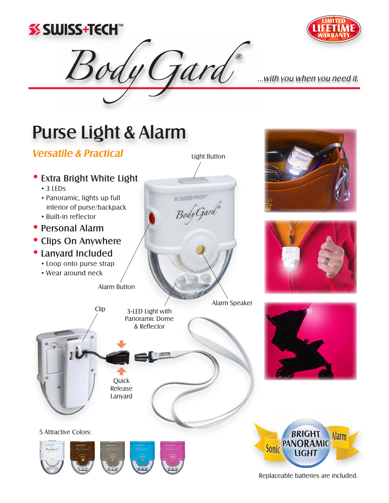



...with you when you need it.

# Purse Light & Alarm

### **Versatile & Practical**



Gard

Replaceable batteries are included.

**Alarm**